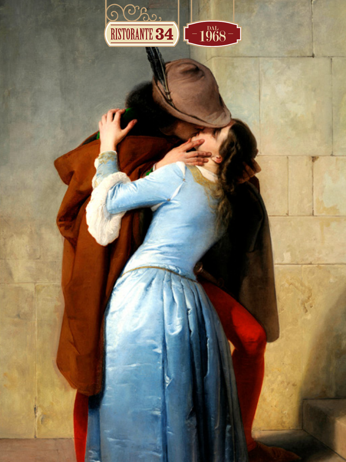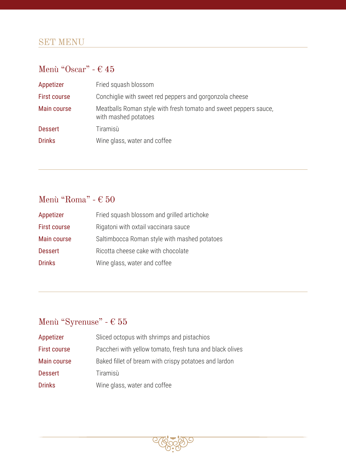## SET MENU

#### Menù "Oscar" -  $\in 45$

| Appetizer      | Fried squash blossom                                                                     |
|----------------|------------------------------------------------------------------------------------------|
| First course   | Conchiglie with sweet red peppers and gorgonzola cheese                                  |
| Main course    | Meatballs Roman style with fresh tomato and sweet peppers sauce,<br>with mashed potatoes |
| <b>Dessert</b> | Tiramisù                                                                                 |
| <b>Drinks</b>  | Wine glass, water and coffee                                                             |

## Menù "Roma" -  $\in 50$

| Appetizer      | Fried squash blossom and grilled artichoke   |
|----------------|----------------------------------------------|
| First course   | Rigatoni with oxtail vaccinara sauce         |
| Main course    | Saltimbocca Roman style with mashed potatoes |
| <b>Dessert</b> | Ricotta cheese cake with chocolate           |
| <b>Drinks</b>  | Wine glass, water and coffee                 |

## Menù "Syrenuse" -  $\in 55$

| Appetizer           | Sliced octopus with shrimps and pistachios               |
|---------------------|----------------------------------------------------------|
| <b>First course</b> | Paccheri with yellow tomato, fresh tuna and black olives |
| Main course         | Baked fillet of bream with crispy potatoes and lardon    |
| <b>Dessert</b>      | Tiramisù                                                 |
| <b>Drinks</b>       | Wine glass, water and coffee                             |
|                     |                                                          |

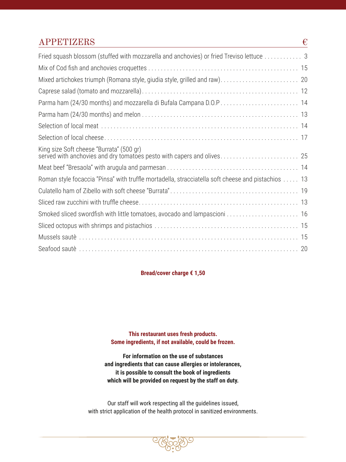#### $APPETIZERS$   $\in$

| Fried squash blossom (stuffed with mozzarella and anchovies) or fried Treviso lettuce 3                            |
|--------------------------------------------------------------------------------------------------------------------|
|                                                                                                                    |
|                                                                                                                    |
|                                                                                                                    |
|                                                                                                                    |
|                                                                                                                    |
|                                                                                                                    |
|                                                                                                                    |
| King size Soft cheese "Burrata" (500 gr)<br>served with anchovies and dry tomatoes pesto with capers and olives 25 |
|                                                                                                                    |
| Roman style focaccia "Pinsa" with truffle mortadella, stracciatella soft cheese and pistachios  13                 |
|                                                                                                                    |
|                                                                                                                    |
|                                                                                                                    |
|                                                                                                                    |
|                                                                                                                    |
|                                                                                                                    |

#### **Bread/cover charge € 1,50**

**This restaurant uses fresh products. Some ingredients, if not available, could be frozen.**

**For information on the use of substances and ingredients that can cause allergies or intolerances, it is possible to consult the book of ingredients which will be provided on request by the staff on duty.**

Our staff will work respecting all the guidelines issued, with strict application of the health protocol in sanitized environments.

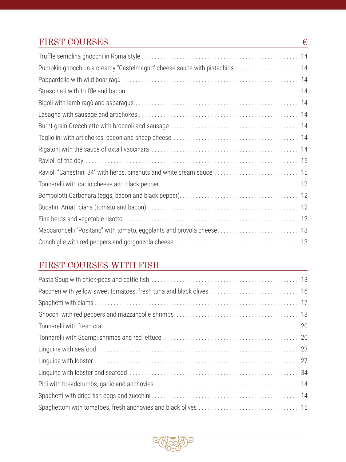## FIRST COURSES  $\epsilon$

| Pumpkin gnocchi in a creamy "Castelmagno" cheese sauce with pistachios  14                             |  |
|--------------------------------------------------------------------------------------------------------|--|
|                                                                                                        |  |
| Strascinati with truffle and bacon (all contained all contained all contained and the strategies of 14 |  |
|                                                                                                        |  |
|                                                                                                        |  |
|                                                                                                        |  |
|                                                                                                        |  |
|                                                                                                        |  |
|                                                                                                        |  |
| Ravioli "Canestrini 34" with herbs, pinenuts and white cream sauce  15                                 |  |
|                                                                                                        |  |
|                                                                                                        |  |
|                                                                                                        |  |
|                                                                                                        |  |
|                                                                                                        |  |
|                                                                                                        |  |

## FIRST COURSES WITH FISH

| Paccheri with yellow sweet tomatoes, fresh tuna and black olives  16 |  |
|----------------------------------------------------------------------|--|
|                                                                      |  |
|                                                                      |  |
|                                                                      |  |
|                                                                      |  |
|                                                                      |  |
|                                                                      |  |
|                                                                      |  |
|                                                                      |  |
|                                                                      |  |
|                                                                      |  |

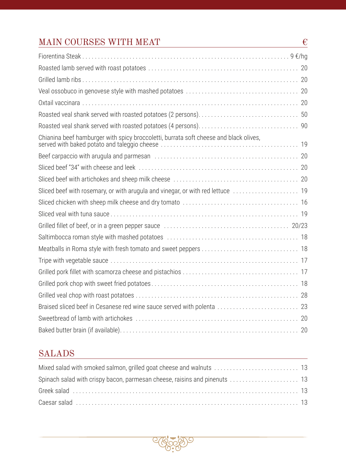## MAIN COURSES WITH MEAT

| Chianina beef hamburger with spicy broccoletti, burrata soft cheese and black olives, |  |
|---------------------------------------------------------------------------------------|--|
|                                                                                       |  |
|                                                                                       |  |
|                                                                                       |  |
|                                                                                       |  |
|                                                                                       |  |
|                                                                                       |  |
|                                                                                       |  |
|                                                                                       |  |
|                                                                                       |  |
|                                                                                       |  |
|                                                                                       |  |
|                                                                                       |  |
|                                                                                       |  |
|                                                                                       |  |
|                                                                                       |  |
|                                                                                       |  |

 $\overline{\epsilon}$ 

## **SALADS**

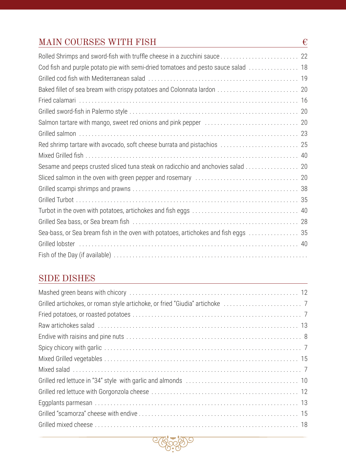## MAIN COURSES WITH FISH  $\epsilon$

| Cod fish and purple potato pie with semi-dried tomatoes and pesto sauce salad  18                                                                                                                                              |  |
|--------------------------------------------------------------------------------------------------------------------------------------------------------------------------------------------------------------------------------|--|
|                                                                                                                                                                                                                                |  |
|                                                                                                                                                                                                                                |  |
|                                                                                                                                                                                                                                |  |
|                                                                                                                                                                                                                                |  |
|                                                                                                                                                                                                                                |  |
|                                                                                                                                                                                                                                |  |
| Red shrimp tartare with avocado, soft cheese burrata and pistachios  25                                                                                                                                                        |  |
|                                                                                                                                                                                                                                |  |
| Sesame and peeps crusted sliced tuna steak on radicchio and anchovies salad 20                                                                                                                                                 |  |
|                                                                                                                                                                                                                                |  |
|                                                                                                                                                                                                                                |  |
|                                                                                                                                                                                                                                |  |
|                                                                                                                                                                                                                                |  |
|                                                                                                                                                                                                                                |  |
| Sea-bass, or Sea bream fish in the oven with potatoes, artichokes and fish eggs 35                                                                                                                                             |  |
| Grilled lobster (and the contract of the contract of the contract of the contract of the contract of the contract of the contract of the contract of the contract of the contract of the contract of the contract of the contr |  |
|                                                                                                                                                                                                                                |  |
|                                                                                                                                                                                                                                |  |

## SIDE DISHES

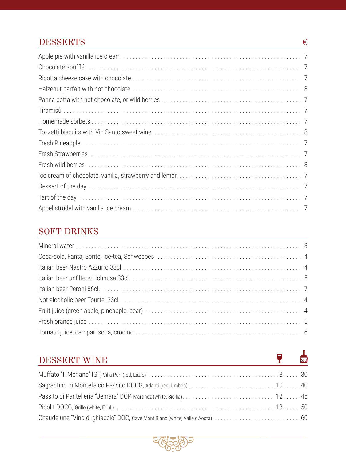## **DESSERTS**

| Chocolate soufflé in the contract of the contract of the contract of the contract of the contract of the control of the contract of the contract of the contract of the contract of the contract of the contract of the contra |
|--------------------------------------------------------------------------------------------------------------------------------------------------------------------------------------------------------------------------------|
|                                                                                                                                                                                                                                |
|                                                                                                                                                                                                                                |
|                                                                                                                                                                                                                                |
|                                                                                                                                                                                                                                |
|                                                                                                                                                                                                                                |
|                                                                                                                                                                                                                                |
|                                                                                                                                                                                                                                |
|                                                                                                                                                                                                                                |
|                                                                                                                                                                                                                                |
|                                                                                                                                                                                                                                |
|                                                                                                                                                                                                                                |
|                                                                                                                                                                                                                                |
|                                                                                                                                                                                                                                |

 $\overline{\epsilon}$ 

 $\frac{1}{50c}$ 

 $\overline{\mathbf{r}}$ 

#### **SOFT DRINKS**

| Italian beer unfiltered Ichnusa 33cl (and all contained and all contained and all contained and all contained t |
|-----------------------------------------------------------------------------------------------------------------|
|                                                                                                                 |
|                                                                                                                 |
|                                                                                                                 |
|                                                                                                                 |
|                                                                                                                 |

## DESSERT WINE

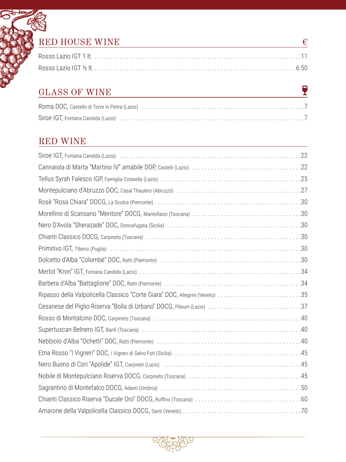## RED HOUSE WINE  $\qquad \qquad \epsilon$

## GLASS OF WINE

 $\overline{\mathbf{Y}}$ 

## RED WINE

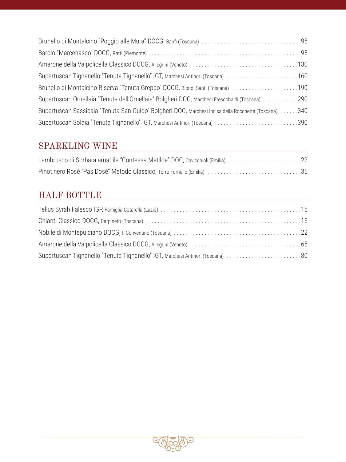| Supertuscan Tignanello "Tenuta Tignanello" IGT, Marchesi Antinori (Toscana) 160                      |  |
|------------------------------------------------------------------------------------------------------|--|
| Brunello di Montalcino Riserva "Tenuta Greppo" DOCG, Biondi-Santi (Toscana) 190                      |  |
| Supertuscan Ornellaia "Tenuta dell'Ornellaia" Bolgheri DOC, Marchesi Frescobaldi (Toscana) 290       |  |
| Supertuscan Sassicaia "Tenuta San Guido" Bolgheri DOC, Marchesi Incisa della Rocchetta (Toscana) 340 |  |
|                                                                                                      |  |

## SPARKLING WINE

| Pinot nero Rosè "Pas Dosè" Metodo Classico, Torre Fornello (Emilia) 35 |  |
|------------------------------------------------------------------------|--|

## HALF BOTTLE

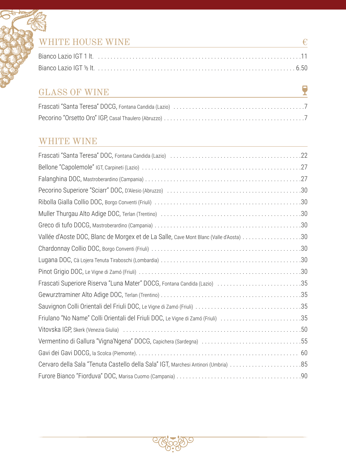## WHITE HOUSE WINE  $\qquad \qquad \in$

## GLASS OF WINE

 $\overline{\mathbf{r}}$ 

#### WHITE WINE

| Vallée d'Aoste DOC, Blanc de Morgex et de La Salle, Cave Mont Blanc (Valle d'Aosta) 30                         |  |
|----------------------------------------------------------------------------------------------------------------|--|
|                                                                                                                |  |
|                                                                                                                |  |
|                                                                                                                |  |
|                                                                                                                |  |
|                                                                                                                |  |
|                                                                                                                |  |
|                                                                                                                |  |
| Vitovska IGP, Skerk (Venezia Giulia) (1998) (1998) (1998) (1998) (1998) (1998) (1998) (1998) (1998) (1998) (19 |  |
| Vermentino di Gallura "Vigna'Ngena" DOCG, Capichera (Sardegna) 55                                              |  |
|                                                                                                                |  |
|                                                                                                                |  |
|                                                                                                                |  |
|                                                                                                                |  |

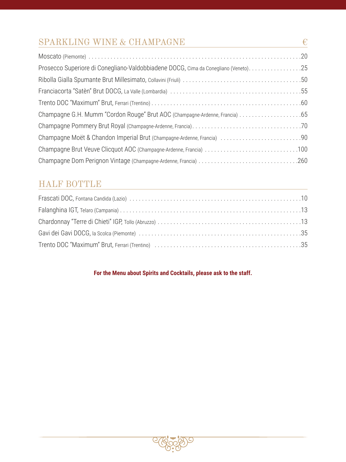## SPARKLING WINE & CHAMPAGNE  $\quad \quad \in$

| Prosecco Superiore di Conegliano-Valdobbiadene DOCG, Cima da Conegliano (Veneto)25 |
|------------------------------------------------------------------------------------|
|                                                                                    |
|                                                                                    |
|                                                                                    |
|                                                                                    |
|                                                                                    |
|                                                                                    |
|                                                                                    |
|                                                                                    |

## HALF BOTTLE

#### **For the Menu about Spirits and Cocktails, please ask to the staff.**